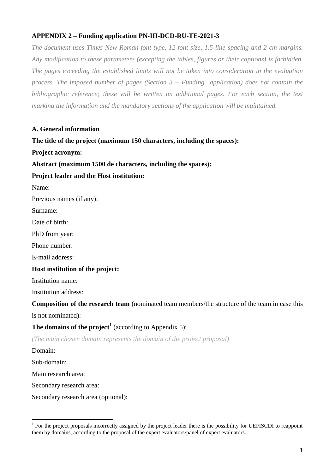## **APPENDIX 2 – Funding application PN-III-DCD-RU-TE-2021-3**

*The document uses Times New Roman font type, 12 font size, 1.5 line spacing and 2 cm margins. Any modification to these parameters (excepting the tables, figures or their captions) is forbidden.*  The pages exceeding the established limits will not be taken into consideration in the evaluation *process. The imposed number of pages (Section 3 – Funding application) does not contain the bibliographic reference; these will be written on additional pages. For each section, the text marking the information and the mandatory sections of the application will be maintained.*

### **A. General information**

**The title of the project (maximum 150 characters, including the spaces):** 

**Project acronym:**

**Abstract (maximum 1500 de characters, including the spaces):** 

#### **Project leader and the Host institution:**

Name:

Previous names (if any):

Surname:

Date of birth:

PhD from year:

Phone number:

E-mail address:

#### **Host institution of the project:**

Institution name:

Institution address:

#### **Composition of the research team** (nominated team members/the structure of the team in case this

is not nominated):

## **The domains of the project<sup>1</sup>** (according to Appendix 5):

*(The main chosen domain represents the domain of the project proposal)*

Domain:

<u>.</u>

Sub-domain:

Main research area:

Secondary research area:

Secondary research area (optional):

<sup>1</sup> For the project proposals incorrectly assigned by the project leader there is the possibility for UEFISCDI to reappoint them by domains, according to the proposal of the expert evaluators/panel of expert evaluators.